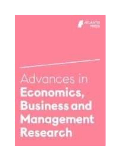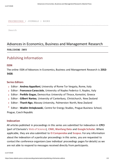[PROCEEDINGS](https://www.atlantis-press.com/proceedings) [|](https://www.atlantis-press.com/journals) [JOURNALS](https://www.atlantis-press.com/journals) [|](https://www.atlantis-press.com/books) [BOOKS](https://www.atlantis-press.com/books)

Search

# Advances in Economics, Business and Management Research

BUBLISHING INFO

# Publishing Information

## **ISSN**

The online ISSN of Advances in Economics, Business and Management Research is **2352- 5428**.

# **Series Editors**

- Editor : **Andrea Appolloni**, University of Rome Tor Vergata, Rome, Italy
- Editor : **Francesco Caracciolo**, University of Naples Federico II, Naples, Italy
- Editor : **Periklis Gogas**, Democritus University of Thrace, Komotini, Greece
- Editor : **Gilbert Nartea**, University of Canterbury, Christchurch, New Zealand
- Editor : **Thanh Ngo**, Massey University, Palmerston North, New Zealand

≧ Editor : **Wadim Striełkowski**, Centre for Energy Studies, Prague Business School, Prague, Czech Republic

## **Indexation**

All articles published in proceedings in this series are submitted for indexation in **CPCI** (part of Clarivate's [Web of Science\)](https://clarivate.com/products/web-of-science/), **[CNKI](https://oversea.cnki.net/index/)**[,](https://oversea.cnki.net/index/) **[Wanfang Data](http://www.wanfangdata.com.cn/index.html)** [and](https://www.elsevier.com/solutions/engineering-village/content/compendex) **[Google Scholar](https://www.elsevier.com/solutions/engineering-village/content/compendex)**[. Where](https://www.elsevier.com/solutions/engineering-village/content/compendex)  [applicable, they are also submitted to](https://www.elsevier.com/solutions/engineering-village/content/compendex) **[Ei Compendex](https://www.elsevier.com/solutions/engineering-village/content/compendex)** [and](https://www.elsevier.com/solutions/engineering-village/content/compendex) **[Scopus](https://www.elsevier.com/solutions/scopus)**[. For any information](https://www.elsevier.com/solutions/engineering-village/content/compendex)  [about the indexation of](https://www.elsevier.com/solutions/engineering-village/content/compendex) a particular proceedings in this series, you are requested to contact the conference organizers (see individual proceedings pages for details) as we are not able to respond to messages received directly from participants.

11/27/2020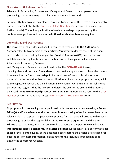# **Open Access & Publication Fees**

Advances in Economics, Business and Management Research is an **open access** proceedings series, meaning that all articles are immediately and

permanently free to read, download, copy & distribute under the terms of the applicable end-user license (refer to the Copyright & End-User License section on this page for further details). The online publication of each proceedings is sponsored by the conference organizers and hence **no additional publication fees** are required.

# **Copyright & End-User License**

The copyright of all articles published in this series remains with **the Authors**, i.e. Authors retain full ownership of their article. Permitted thirdparty reuse of the open access articles is de ned by the applicable **Creative Commons (CC)** end-user license which is accepted by the Authors upon submission of their paper. All articles in Advances in Economics, Business

and Management Research are published under the **[CC BY-NC 4.0](https://creativecommons.org/licenses/by-nc/4.0/)** license, meaning that end users can freely **share** an article (i.e. copy and redistribute the material in any medium or format) and **adapt**it (i.e. remix, transform and build upon the material) on the condition that proper **attribution** is given (i.e. appropriate credit, a link to the applicable license and an indication if any changes were made; all in such a way that does not suggest that the licensor endorses the user or the use) and the material is only used for **noncommercial** purposes. For more information, please refer to the [User](https://www.atlantis-press.com/policies/open-access-and-article-sharing#user-licenses)  [Licenses s](https://www.atlantis-press.com/policies/open-access-and-article-sharing#user-licenses)ection in the Atlantis Press [Open Access & Article Sharing](https://www.atlantis-press.com/policies/open-access-and-article-sharing) policy.

# **Peer Review**

All proposals for proceedings to be published in this series are rst evaluated by a **Series Editor(s)** and/or a **scienti c evaluation committee** consisting of senior researchers in the relevant eld. If accepted, the peer review process for the individual articles within each proceedings is under the responsibility of the **conference organizers** and the **Guest Editors** of each volume, who are committed to conducting the peer review in line with **international scienti c standards**. The **Series Editor(s)** subsequently also perform(s) a nal check of the scienti c quality of the accepted papers before the articles are released for publication. For more information, please refer to the individual proceedings page and/or the conference website.

11/27/2020 pg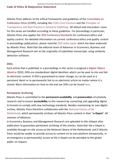Advances in Economics, Business and Management Research | Atlantis Press

# **Code of Ethics & Malpractice Statement**

Atlantis Press adheres to the ethical frameworks and guidelines of the **[Committee on](https://publicationethics.org/)  [Publication Ethics](https://publicationethics.org/)** (COPE), including the [COPE Core Practices a](https://publicationethics.org/files/editable-bean/COPE_Core_Practices_0.pdf)nd the [Principles of](https://publicationethics.org/files/Principles_of_Transparency_and_Best_Practice_in_Scholarly_Publishingv3.pdf)  [Transparency and Best Practice in Scholarly Publishing. A](https://publicationethics.org/files/Principles_of_Transparency_and_Best_Practice_in_Scholarly_Publishingv3.pdf)ll ethical and misconduct cases for this series are handled according to these guidelines. For proceedings in particular, Atlantis Press also applies the **[IEEE Conference Standards](https://www.atlantis-press.com/ieee-standards)** for conference ethics and quality control. For detailed information on current conference ethics and quality control in proceedings publications, please read the [IEEE white paper](https://www.ieee.org/conferences_events/conferences/publishing/paper_acceptance_criteria.pdf) which has been endorsed by Atlantis Press. Note that the editorial team of Advances in Economics, Business and Management Research veri es the originality of submitted manuscripts using similarity detection software.

# **DOIs**

Each article that is published in a proceedings in this series is assigned a **[Digital Object](https://www.doi.org/)  [Identi er](https://www.doi.org/)** (DOI). DOIs are standardized digital identities which can be used to cite and link to electronic content. A DOI is guaranteed to never change, so can be used as a persistent identi er to permanently link to an electronic article no matter where it is stored. More information on how to cite and use DOIs can be found [here.](https://www.atlantis-press.com/using-dois)

# **Permanent Archiving**

Atlantis Press is committed to the **permanent availability** and **preservation** of scholarly research and to ensure **accessibility** to this research by converting and upgrading digital le formats to comply with new technology standards. Besides maintaining its own digital archive, Atlantis Press therefore collaborates with the [National Library of the](https://www.kb.nl/en)  [Netherlands](https://www.kb.nl/en) which permanently archives all Atlantis Press content in their "**e-Depot**". All volumes of Advances

in Economics, Business and Management Research are uploaded to this eDepot after publication to guarantee permanent archiving of the articles. Note that the e-Depot is available through on-site access at the National Library of the Netherlands and if Atlantis Press would be unable to provide access to content on its own platform (temporarily, in an emergency or permanently) access to the e-Depot can be provided to the global public on request.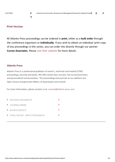q

# **Print Version**

All Atlantis Press proceedings can be ordered in **print**, either as a **bulk order** through the conference organizers or **individually**. If you wish to obtain an individual print copy of any proceedings in this series, you can order this directly through our partner **Curran Associates**. Please [visit their website](http://www.proceedings.com/) for more details.

## **[Atlantis Press](https://www.atlantis-press.com/)**

Atlantis Press is a professional publisher of scienti c, technical and medical (STM) proceedings, journals and books. We offer world-class services, fast turnaround times and personalised communication. The proceedings and journals on our platform are Open Access and generate millions of downloads every month.

For more information, please contact us at: contact@atlantis-press.com

| P PROCEEDINGSABOUT        |  |
|---------------------------|--|
| <b>JOURNALSNEWS</b>       |  |
| BOOKSCONTACT              |  |
| PUBLISHING SERVICESSEARCH |  |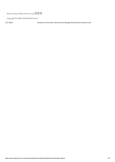[Home](https://www.atlantis-press.com/) [Privacy Policy](https://www.atlantis-press.com/privacy-policy) [Terms of use](https://www.atlantis-press.com/terms-of-use) ? ?

Copyright © 2006-2020 Atlantis Press

11/27/2020 Advances in Economics, Business and Management Research | Atlantis Press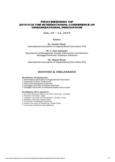# **PROCEEDINGS OF 2019 ICOI THE INTERNATIONAL CONFERENCE OF** ORGANIZATIONAL INNOVATION

July, 20 - 22, 2019

### Editor

Dr. Charles Shieh International Association of Organizational Innovation, USA

Mr. T. Aria Auliandri Department of Management, Faculty of Economics and Business, Airlangga University, Surabaya, Indonesia

Ms. Minnie Hsieh International Association of Organizational Innovation, USA

# **HOSTED & ORGANIZED**

#### **Institute of Sponsor:**

1. International Association of Organizational Innovation

2. University of Ulsan, South Korea

3. FMI Forum Manajemen Indonesia

4. Airlangga University, Surabaya, Indonesia

5. Shanghai University of medicine& health Science, China

#### **Institute of Co-sponsor:**

1. La Trobe Business School. La Trobe University, Australia

2. Fukuoka University, Japan

3. Guangxi University for Nationalities, Guangxi China

4. Huaqiao University, Fujian China

5. Universitas Tanjungpura Indonesia

6. Guilin University of Technology, Guilin China

7. Universitas Sumatera Utara Indonesia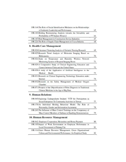| 19R-164: The Role of Social Identification Mediators on the Relationships<br>of Authentic Leadership and Performance                             | 65 |
|--------------------------------------------------------------------------------------------------------------------------------------------------|----|
| 19R-183:Holding Restructuring Analysis towards the Solvability and<br>Profitability of PT Inalum (Persero)                                       | 66 |
| 19R-187: Risk Management in Construction Service Industries                                                                                      | 67 |
| 19R-226: The Role of Supply Chain Management in Cocoa Industry                                                                                   | 68 |
| 8. Health Care Management                                                                                                                        |    |
| 19R-024:Literature Clustering Analysis of Geriatric Nursing Research                                                                             | 69 |
| 19R-025: Research Trend Analysis of Molecular Imaging Based on<br>Bibliometric                                                                   | 70 |
| 19R-026:Study on Temperature and Humidity Wireless Network<br>Monitoring System of Hospital Imaging Room                                         | 71 |
| 19R-029:A Comparative Study of Clinical Engineering Education and<br>Careers between China and the United States                                 | 72 |
| 19R-030:A study of the Application of Artificial Intelligence in the<br>Medical<br>Health                                                        | 73 |
| 19R-031: Research on Clinical Engineering Technology Education under<br>Internet                                                                 | 74 |
| 19R-032: Research on the Safety Management of Medical Oxygen<br>Chamber                                                                          | 75 |
| 19R-071:Prospect of the Objectification of Pulse Diagnosis in Traditional<br>Chinese Medicine in the Age of Big Data                             | 76 |
| 9. Human Relations<br>19R-045:Exploring Undergraduate Students' WTP for Participation in<br>Social Enterprises To Community Activities in Taiwan | 77 |
| 19R-170:An Individual Herding Behaviour Model: The Role of<br>Personality, Gender and Information Asymmetry                                      | 78 |
| 19R-243:The Influence of Mass Control Trainings on the Competency of<br>Mass Control Members of Sabhara in Handling Demonstrations               | 79 |
| 10. Human Resource Management                                                                                                                    |    |
| 19R-062: Employee Cooperation, Hierarchies and Bonus Payment                                                                                     | 80 |
| 19R-105:Impact of Work Environment on Employee Performance in<br>Local Government of Padang City                                                 | 81 |
| 19R-116:Green Human Resource Management, Green Organizational<br>Culture, and Environmental Performance: An Empirical Study                      | 82 |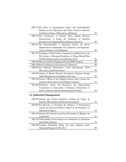| 19R-117:The Effect of Organizational Justice and Leader-Member<br>Relation on Job Satisfaction and Nurses Turnover Intentions                                                      |    |
|------------------------------------------------------------------------------------------------------------------------------------------------------------------------------------|----|
| with Perceived Ease of Movement as Moderator                                                                                                                                       | 83 |
| 19R-127:The Construction of National Police Human Resource<br>Empowerment in Facing the Challenges of Industrial<br>Revolution 4.0 in Regional Police Indonesia, East Java         | 84 |
| 19R-141:The Interrelationship of Procedural Justice, Job Stress,<br>Organizational Commitment, Job Satisfaction, and Employees'<br>Turnover Intention in the Workplace             | 85 |
| 19R-179: The Impact of Work Culture, Competence and Motivation on the<br>Performance of Permanent Employees in Telaga Hikmah Palm<br>Oil Mill (Sampoerna Agro Group Business Unit) | 86 |
| 19R-189: Effective Employee Engagement Using SWOT Analysis                                                                                                                         | 87 |
| 19R-198: Work Life Balance of Generation Y in Indonesia                                                                                                                            | 88 |
| 19R-202:The Employee Performance: Career Development, Work<br>Motivation, and Job Satisfaction                                                                                     | 89 |
| 19R-209: Analysis of Human Resource Development Programs through<br>Talent Management in Padjadjaran University                                                                    | 90 |
| 19R-218:Toward a Model of the Linkages between Safety Culture and<br>Employee Performance in Gold Mining Companies                                                                 | 91 |
| 19R-249:Distributive Justice, Job Satisfaction and Organizational<br>Commitment as Antecedents of Employee Performance: A<br>Study in Indonesia National Health Insurance Workers  | 92 |
| 11. Industrial Management                                                                                                                                                          |    |
| 19R-050:Cultural and Creative Industries: Probing Its Nature<br>by<br>Indicators Development and Practice Investigation                                                            | 93 |
| 19R-069:The Research on Exploring the Influence of Psychological<br>Capital and Innovation Behavior Based on the Perspective of<br>Organization Support                            | 94 |
| 19R-101:Synergy, Diversification and Firm Performance in Mergers and<br>Acquisitions<br>19R-125-Understanding Critical Factors and Antecedents in Indonesian                       | 95 |
|                                                                                                                                                                                    |    |

19R-240:Company Profitability Before and After Employee Stock

 $96$ 

97

Small Dairy Industries

Ownership Program in 2011-2014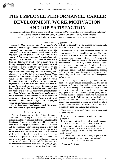

# **THE EMPLOYEE PERFORMANCE: CAREER DEVELOPMENT, WORK MOTIVATION, AND JOB SATISFACTION**

Sri Langgeng Ratnasari (Master Management Study Program of Universitas Riau Kepulauan, Batam, Indonesia) Gandhi Sutjahjo (Information System Study Program of Universitas Batam, Batam, Indonesia) Adam (English Education Study Program of Universitas Riau Kepulauan, Batam, Indonesia)

#### Email: sarisucahyo@yahoo.com

*determine the direct effect of career development on the employee's performance, work motivation on the employee's performance, career development on the employee's job satisfaction, work motivation on the employee's job satisfaction, and job satisfaction on the employee's performance. Also, how to empirically determine the indirect effect of career development on the employees performance by job satisfaction and work motivation on the employees performance by job satisfaction. This research took sample of 160 employees related to the Regional Government of Riau Islands Province. The data were analyzed using "Path Analysis" of the statistical software SPSS 20. The results of this research are as follows career development had direct influence on the employees performance, work motivation had direct influence on the employees performance, career development had direct influence on job satisfaction, work motivation had direct influence on job satisfaction, job satisfaction had direct influence on the employees performance, career development had indirect effect on employees performance through job satisfaction, and work motivation had indirect effect on employees performance through job satisfaction.*

*Keywords—Career Development, Work Motivation, Job Satisfaction, Employee Performance*

#### I. INTRODUCTION

The implementation of the Asian Economic Community which began in 2015 has been very influential in the development of human resources in the Riau Islands Province, which is bordered by neighboring countries like Singapore, Malaysia, Thailand, Vietnam and the Philippines. Therefore, it is proper to carry out human resource development efforts to improve the performance of employees of the Regional Government of Riau Islands Province in order to provide better services to the public, and to be able to compete with public services delivered by our neighboring countries. In the development of the globalization era, the challenges for government institutions are getting bigger. The government is required to increase its role as a public

Abstract—This research aimed to empirically institution, especially in the demand for increasingly expected performance improvements.

> Performance is a very important thing in an organization so that it can achieve its goals. Employee performance is one of the most dominant factors in improving organizational performance. According to Mathis (2006) there are three main factors that influence performance, (1) abilities, which include talents, interests, personality factors; (2) efforts devoted, including motivation, work ethics, attendance, assignment design; and (3) organizational support, including training and development, equipment and technology, performance standards, and management and coworkers.

> To achieve organizational goals, human resources need to be given enough encouragement, thus can be motivated, In doing so, they need to be rewarded in the form of career development, promotion, and provision of bonuses that are able to provide satisfaction for employees. In addition, achieving good quality human resources cannot be separated from the motivation of someone to work. Without positive motivation the quality itself will not be achieved. Motivation is an activity that encourages a person or oneself to take a desired action. Sufficient motivation will manifest in an increasingly good working spirit in employees.

> Based on the background above, the formulation of the problems are:

Does career development affect employee performance?

Does work motivation affect employee performance? Does career development affect job satisfaction? Does work motivation affect work satisfaction? Does job satisfaction affect employee performance? Does career development affect employee performance?

Does work motivation affect employee performance with job satisfaction as an intervening variable? II. LITERATURE REVIEW

*A. Employee Performance*

583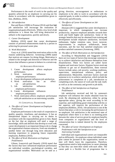Performance is the result of work in the quality and quantity achieved by an employee in carrying out his duties in accordance with the responsibilities given to him, (Robbins, 2010).

#### *B. Job satisfaction*

Rue and Byars (2008) in Priansa (2014) said that high job satisfaction will encourage the realization of organizational goals effectively. While a low level of job satisfaction is a threat that will bring destruction or setback to the organization, quickly and slowly.

#### *C. Career Development*

Robbins (2010) stated that career development consists of personal enhancements made by a person in achieving his personal career plan.

#### *D. Work Motivation*

Guay et.al. (2010) stated that motivation refers to the reasons underlying behavior. Armstrong (2009) stated that motives are reasons for doing things. Motivation is related to the strength and direction of behavior and the factors that influence a person to behave in a certain way.

#### III. RESEARCH HYPOTHESIS

- 1. Career development affects employee performance.
- 2. Work motivation influences employee performance.
- 3. Career development influences job satisfaction.
- 4. Work motivation has an effect on job satisfaction.
- 5. Job satisfaction influences employee performance.
- 6. Career development influences employee performance.
- 7. Work motivation affects employee performance with job satisfaction as an intervening variable.

#### IV. CONCEPTUAL FRAMEWORK

#### *A. The effect of Career Development on Employee Performance*

Employee performance is the result of cooperation in quality, quantity, timeliness, and attendance. It has an interpersonal impact in carrying out its duties in accordance with the responsibilities given to him. Based on the fact that an employee will need a range of knowledge, skills and abilities that develop to work well, career development is an important thing to do to change the organization's human resources, from one situation to another better one through long term education and learning experience in preparing future responsible employees, Robbins (2010).

#### *B. The effect of Work Motivation on Employee Performance*

Gibson, Ivancevich and Donnely (2010) stated that the factors that have influenced employee performance are individual variables, psychological variables, and organizational variables. Motivation can be said as a giving direction, encouragement or enthusiasm to employees to be able to work in accordance with the expected goals, in order to achieve organizational goals, effectively and efficiently.

## *C. The effects of Career Development on Job Satisfaction*

Abonam (2011) suggested that career development is important, in which management can increase productivity, improve employee attitudes towards their work and build higher job satisfaction. Some of the strategic benefits that may be obtained from training and development include employee satisfaction, increased enthusiasm, higher retention rates, lower turnover, improvements in employee withdrawals, better outcomes, and the fact that satisfied employees will produce satisfied customers (Armstrong, 2009).

#### *D. The effect of Work Motivation on Job Satisfaction*

According to Masydzulhak and Anggraeni (2016) there are two types of factors that encourage someone to try to achieve satisfaction and distance themselves from dissatisfaction. These two factors are called factor hygiene and motivator factors. Hygiene factors motivate someone to get out of dissatisfaction, these external factors include salary, job security, working conditions, supervision, interpersonal relations, policy and administration. Meanwhile, motivator factors motivate someone to try to achieve satisfaction, which include the achievement or completion of a job, introduction to completing work, the nature of work and the task itself, as well as as the continuity and growth in job skills.

#### *E. The effect of Job Satisfaction on Employee Performance*

Job satisfaction received and felt by someone's employee will influence the results obtained from his work. By obtaining job satisfaction, either by giving appropriate salary, giving the work according to his expertise, and establishing good relationship with his or her superior, will improve the performance of the employees (Robbins, 2010). Job satisfaction is one of the factors that plays a role in increasing the performance of an employee. Job satisfaction is the emotional state of employees where there is or there is no meeting point between the value of service given by employee benefits from companies or organizations and the level of remuneration that is indeed desired by the employees concerned.

*F. The effect of Career Development on Employee Performance with Job Satisfaction as an Intervening Variable*

Individual and organizational careers are inseparable and no differently. An employee whose individual career plan cannot be pursued in the organization, sooner or later will likely leave the organization. Therefore, organizations need to help employees in career planning so that they can meet their needs with each other. The career path is a flexible line of progression that is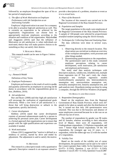

followed by an employee throughout the span of his or provide a description of a problem, situation or event as her period of employment.

*G. The effect of Work Motivation on Employee Performance with Job Satisfaction as an Intervening Variable*

Employee's high motivation is an asset for a company to be able to actualize high job satisfaction as well. This is certainly an expectation to be achieved by the organization. Organizations can choose how to appropriately motivate employees according to the situation and condition of the organization. Masydzulhak and Anggraeni (2016) said that the influence of Motivation on job satisfaction is when individuals are motivated, thence they will make positive choices to do something as they can satisfy their desires.

#### V. RESEARCH MODEL

This research model can be seen in Figure 1 below:



Fig. 1. Research Model

Definition of Key Terms

#### *A. Employee Performance*

Employee performance is the result of work in quality and quantity achieved by an employee in carrying out his duties in accordance with the responsibilities given to him, (Robbins, 2010).

#### *B. Job satisfaction*

Rue and Byars (2008) said that high job satisfaction will encourage the realization of organizational goals effectively. While a low level of job satisfaction is a threat that will bring destruction or setback to the organization, quickly and slowly.

#### *C. Career development*

Robbins (2010) stated that career development consists of personal enhancements made by a person in achieving his personal career plan. Career development is a formal approach that organizations use to ensure that people with the right qualifications and experience are available if needed.

#### *D. Work motivation*

Gibson (2011) suggested that "motive is defined as a tendency to activity, started by drive and ended by adjustment. The adjustment is said to satisfy the motive. "

#### VI. METHODS

This research is a descriptive study with a quantitative approach. Descriptive research is an exposure aimed to it is to reveal facts.

#### *A. Place of the Research*

The location of this research was carried out in the Regional Government of the Riau Islands Province.

#### *B. Population and Samples*

The target population in this study were employees of the Regional Government of the Riau Islands Province. A sample of 160 people were selected by *proportionate stratified random sampling* using the *Slovin* formula.

#### *C. Techniques for Collecting Data and Analyzing Data*

The data collection were done in several ways, namely:

- 1. Observing directly to the research location. This observation was carried out to obtain an overview of the workplace atmosphere, work processes and other things needed.
- 2. Disseminating questionnaires to the respondents. The questionnaire used in this study contained employee perceptions relating to career development, work motivation, job satisfaction and employee performance.

This study used data analysis techniques with descriptive analysis, validity test, reliability test, multiple linear regression test (F Test and t test), the classic assumption test multiple regression models (multicollinearity assumption test, heteroscedasticity assumption test, autocorrelation assumption test, normality assumption test, linearity assumption test, and path analysis test). Hypothesis testing was done by using a computer, through the SPSS for Windows 20 program.

#### VII. RESULTS AND DISCUSSION

#### *A. Respondent Demographics*

Based on the employee data from the Regional Government of Riau Islands Province, which were 267 people to be taken as sample and after the distribution of the, it turned out that only 160 questionnaires were returned. This was due to the busyness and absence of some employees concerned because he or she was on an official trip out of town.

The number of respondents by gender was 98 males and 62 females, whereas according to their education level of Master, there were 20 respondents, 120 Undergraduate respondents, 13 Diploma respondent, and were 7 Senior High School respondents. Of the 160 respondents, the youngest age was 22 years, i.e. 1 respondent, while the oldest age was 52 with the number of 2 respondents.

#### *B. Validity Test*

Based on the results of the validity test of career development, the questionnaire can be said to be valid if the r count is greater than r table. So for Questions 1 was (0.475> 0.1543), Question 2 was (0.321> 0.1543), Question 3 was (0.345> 0.1543), Question 4 was (0.290>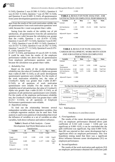

0.1543), Question 5 was (0.598> 0.1543) ), Question 6 was (0.354> 0.1543), Question 7 was (0.700> 0.1543), and Question 8 was (0.409> 0.1543), all questionnaires from career development questions were valid.It could be

seen from the results of the work motivation validity test, all questionnaires from work motivation questions were valid, because the r count was greater than r-table.

Seeing from the results of the validity test of job satisfaction, all questionnaires from the job satisfaction question were valid, because the calculation was greater than the r-table, Question 1 was  $(0.470 > 0.1543)$ , Question 2 was (0.207> 0.1543), Question 3 was (0.335> 0 , 1543), Question 4 was (0.493> 0.1543), Question 5 was (0.551> 0.1543), Question 6 was (0.342> 0.1543), Question 7 was (0.277> 0.1543), Question 8 was (0.375> 0 , 1543), Question 9 was

(0.267> 0.1543), and Question 10 was (0.329> 0.1543). It could be seen from the results of the employee performance validity test above that all questionnaires from employee performance questions were valid because the calculation was greater than r-table.

#### *C. Reliability Test*

Based on the results of the career development reliability test, the value of *Cronbach's Alpha* was greater than r-table  $(0.368 > 0.1543)$ , so all career development questionnaire questions were reliable. For the results of the work motivation reliability test, the value of *Cronbach's Alpha* was greater than r-table (0.487> 0.1543), so all questions of work motivation questionnaire were reliable. For the results of the reliability test of job satisfaction, the value of *Cronbach's Alpha* was greater than r-table (0.265> 0.1543), so all questions of job satisfaction questionnaire were reliable. For the results of the employee performance reliability test, the *Cronbach's Alpha* value was greater than r-table  $(0.251> 0.1543)$ , so all questions of Employee Performance questionnaire were reliable.

## *D. Hypothesis testing*

To find out the relationship between several independent variables and the dependent variables, thus a multiple regression analysis can be used here. Path analysis is used to test patterns of relationships that reveal the influence of variables or a set of variables on other variables, both direct influence and indirect influence.

| <b>Table 1.</b> Result of Path Analysis – Career |
|--------------------------------------------------|
| Development And Work Motivation on Job           |
| $\sim$ $\sim$ $\sim$                             |

| Satisfaction             |           |       |        |        |                 |  |  |
|--------------------------|-----------|-------|--------|--------|-----------------|--|--|
| Variable                 | B         | Beta  | t      | Sig. t | Notes.          |  |  |
| Constant                 | 5.424     |       | 3.123  | 0.002  |                 |  |  |
| Career<br>Development    | 0.319     | 0.268 | 4.538  | 0.000  | Signifi<br>cant |  |  |
| Work<br>Motivation       | 0.609     | 0.655 | 11.077 | 0.000  | Signifi<br>cant |  |  |
| R Square                 | $= 0.768$ |       |        |        |                 |  |  |
| <b>Adjusted R Square</b> | $= 0.765$ |       |        |        |                 |  |  |

 $Sig F = 0.000$ 

## **TABLE 2.** RESULT OF PATH ANALYSIS –JOB SATISFACTION ON EMPLOYEE PERFORMANCE

| Variable                     | в                  | <b>Beta</b> | t        | Sig. t | <b>Notes</b> |
|------------------------------|--------------------|-------------|----------|--------|--------------|
| constant                     | $-5.607$           |             | $-2.838$ | 0.005  |              |
| Job Satisfaction<br>R Square | 1.135<br>$= 0.801$ | 0.895       | 25.214   | 0.000  | Significant  |
| <b>Adjusted R Square</b>     | $= 0.800$          |             |          |        |              |
| SigF                         | $= 0.000$          |             |          |        |              |

#### **TABLE 3.** RESULT OF PATH *ANALYSIS* – CAREER DEVELOPMENT, WORK MOTIVATION AND JOB SATISFACTION ON EMPLOYEE PERFORMANCE

| Variable                 | B         | <b>B</b> eta | t        | Sig. t | <b>Notes</b> |
|--------------------------|-----------|--------------|----------|--------|--------------|
| constant                 | $-9.543$  |              | $-5.937$ | 0.000  |              |
| Career<br>Development    | 0.245     | 0.163        | 3.656    | 0.000  | Significant  |
| Work motivation          | 0.549     | 0.465        | 8.331    | 0.000  | Significant  |
| Job Satisfaction         | 0.470     | 0.371        | 6.560    | 0.000  | Significant  |
| R Square                 | $= 0.884$ |              |          |        |              |
| <b>Adjusted R Square</b> | $= 0.882$ |              |          |        |              |
| Sig F                    | $= 0.000$ |              |          |        |              |



#### follows:

Fig.2. PathAnalysis

#### VIII.RESULTS AND DISCUSSION

#### *A. First hypothesis*

The results of the career development path analysis (X1) on employee performance obtained direct path coefficient of  $0.163$  with t-count = 3.656 and was significant at  $0.000 \le 0.05$ , it can be concluded that the path coefficient was significant. Sig value  $0.000 < 0.05$ , then H0 was rejected so that career development had a significant effect on employee performance. This first hypothesis testing stated that there was a significant direct influence between career developments (X1) on employee performance.

#### *B. Second hypothesis*

The results of the work motivation path analysis  $(X2)$ on employee performance obtained the coefficient path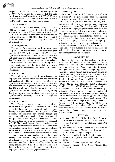analysis of 0.465 with t-count  $= 8.333$  and was significant at  $0.000 \leq 0.05$ , it can be concluded that the path coefficient was significant. Sig value  $0.000 \le 0.05$ , then H0 was rejected so that the work motivation had a significant effect on the employee performance.

#### *C. Third hypothesis*

The results of the career development path analysis (X1) on job obtained the coefficient path analysis of  $0.268$  with t-count = 4.538 and was significant at  $0.000$ <0.05, it can be concluded that the path coefficient was significant. Sig value  $0.000 \le 0.05$ , then H0 was rejected so that the career development had a significant effect on job satisfaction.

#### *D. Fourth Hypothesis*

The results of the analysis of work motivation path (X2) on job satisfaction obtained the coefficient path analysis of  $0.655$  with t-count =  $11.077$  and was significant at  $0.000 \le 0.05$ , it can be concluded that the path coefficient was significant. Sig value  $0.000 < 0.05$ , then H0 was rejected so that the work motivation had a significant effect on job satisfaction. By testing of this fourth hypothesis, it can be stated that there was a significant effect between work motivations (X2) on job satisfaction.

#### *E. Fifth Hypothesis*

The results of the analysis of job satisfaction on employee performance which obtained the coefficient path analysis of  $0.895$  with t-count =  $6.560$  and was significant at  $0.000 \le 0.05$ , it can be concluded that the path coefficient was significant. Sig value  $0.000 \le 0.05$ , then H0 was rejected so that the job satisfaction had a significant effect on employee performance.By testing this hypothesis, it can be stated that there was a significant effect between job satisfactions on employee performance.

#### *F. Sixth Hypothesis*

The effect of career development on employee performance through job satisfaction were: 0.268 x 0.895 = 0.240. Based on the results of indirect career development path analysis (X1) it gave an effect indirectly on employee performance through job satisfaction which was obtained from the results of multiplication between regression coefficients career development and employee performance, that was equal to 0.240. The direct influence of career development on employee performance can be seen from the regression coefficients of career development values on employee performance which was equal to 0.163.Value 0.240> 0.163, this means that the coefficient of indirect influence is greater than the path analysis, then the career development influenced employee performance through job satisfaction. In other words, the job satisfaction is an intervening variable or the actual effect indirectly. By testing the sixth hypothesis, it showed that there was a direct influence on career development variables on employee performance through job satisfaction.

#### *G. Seventh Hypothesis*

Based on the results of the indirect path of work motivation (X2) it gave indirect effect on employee performance through job satisfaction, obtained from the results of multiplication between the regression coefficients of work motivation and employee performance that was 0.586. The direct effect of work motivation on employee performance seen from the regression coefficient of work motivation values on employee performance was 0.465. The value of 0.586> 0.465 means that the coefficient of indirect influence was greater than the direct effect, then work motivation influenced employee performance through job satisfaction. In other words, job satisfaction is an intervening variable or the actual effect is indirect. By testing this seventh hypothesis, it showed that there was a direct effect of work motivation variables on employee performance through job satisfaction.

#### IX. CONCLUSIONS

Based on the results of data analysis, hypothesis testing and findings from the questionnaire, it can be concluded as follows: Career development influences employee performance. Work motivation influences employee performance. These findings support the findings of Hidayat (2007), Prananta (2008), Hermawan (2008), Robbins (2010), Riyadi (2011), Susan (2012), Muogbo (2013), Zameer, Nisar, and Amir (2014) , Syafii, Thoyib, Nimran, and Djumahir (2015), Tamarunday, Manneke, and Pandowa (2017), Martin and Bou-Llusar (2018), Mariati and Mauludin (2018), Ratnasari, Sutjahjo, and Yana (2018). Career development affects job satisfaction. Work motivation influences job satisfaction. These findings support the findings of Hermawan (2008), Teck and Waheed (2011), Maharjan (2012), Masydzulhak, Ali, and Anggraeni (2016). Job satisfaction influences employee performance. This finding supports the findings of Maharani, Troena, and Noermijati (2013), Mariati and Mauludin (2018). Career development has an indirect effect on employee performance through job satisfaction. Work motivation has an indirect effect on employee performance through job satisfaction.

#### **REFERENCES**

- $[1]$  Abonam, N. D.  $(2011)$ . The Roll Employee Performance in the Public Sector. *Thesis.* Case Study of the University for Development StudiesWa Campus.
- [2] Armstrong, M. (2009). Armstrong's Handbook of Human Resource Management Practice 11th Edition. United Kingdom: Kogan Page.
- [3] Byars, L. L., and Leslie W. R. (2008). *Human Resource Management*. New York: McGraw-Hill Irwin.
- [4] Gibson (2011). *Organizational Behaviour, Structure, Process*. New York: McGraw-Hill Education.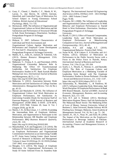

- [5] Guay, F., Chanal, J., Ratelle, C. F., Marsh, H. W., Larose, S., dan Boivin, M. (2010). Intrinsic, Identified, and Controlled Types of Motivation For School Subject in Young Elementary School Children. *British Journal of Educational Psychology*. 80(4), 711-735.
- [6] Hermawan. 2008. The influence of Organization and Organizational Culture on Work Motivation and Job Satisfaction and Performance of Structural Officials in Kab. Kutai Kertanegara. *Dissertation*. Surabaya: Postgraduate Program of Airlangga University.
- [7] Hidayat, E. 2007. Influence Characteristics of Individual and Work Environment and Organizational Culture Against Motivation and Performance and Employee Career Development PT. Port Ind IV. *Dissertation*. Surabaya: Postgraduate Program of Airlangga University.
- [8] Mathis, R, L., John, H., Jackson, & Valentine, S.R. (2013). *Human Resource Management*. USA: Cengange Learning.
- [9] Maharani, V., Troena, E. A., and Noermijati. (2013). Organizational Citizenship Behavior Role In Mediating The Effect Of Transformational Leadership, Job Satisfaction On Employee Performance: Studies in PT. Bank Syariah Mandiri Malang East Java. *International Journal of Business and Management*, *8*(17), 1–12. https://doi.org/10.5539/ ijbm.v8n17p1
- [10] Maharjan, S. (2012). Association between Work Motivation and Job Satisfaction of College Teachers Administrative. *Management Review*. Vol. 24, No 2, pp..45-55.
- [11] Mariati and Mauludin H. (2018). The Influence of Organizational Culture And Work Motivation on Employee Performance, Job Satisfaction As Intervening Variable (Study On Secretariat Staff of Pasuruan Regency). *IOSR Journal of Business and Management (IOSR-JBM)*. E-ISSN: 2278-487X, PISSN: 2319-7668. Volume 20, Issue 8. Ver. I (August 2018), pp 30-39.
- [12] Martin, I. B., & Bou-Llusar, J. C. (2018). Examining the Intermediate Role of Employee Abilities, Motivation, and Opportunities to Participate in the Relationship between HR Bundles and Employee Performance. *BRQ Business Research Quarterly*, *21*(2), 99– 110.

https://doi.org/10.1016/j.brq.2018.02.001

- [13] Masydzulhak, A.H. and Anggraeni, L.D. (2016). The Influence Of Work Motivation and Job Satisfaction on Employee Performance and Organizational Commitment Satisfaction as an Intervening Variable in PT. Asian Isuzu Casting Center. *Quest Journal*. Journal of Research in Business and Management Volume 4. Issue 10 (2016) pp. 01-10. ISSN (Online): 2347-3002. www.questjournals.org
- [14] Muogbo, U.S. (2013). The Impact of Employee Motivation On Organisational Performance (A Study Of Some Selected Firms In Anambra State

Nigeria). *The International Journal Of Engineering And Science (IJES)*, ISSN(e): 2319 – 1813 ISSN(p): 2319 – 1805 Volume 2 Issue7 Pages 70-80.

- [15] Prananta, M.I. (2008). The Influence of Leadership and Organizational Culture and Motivation To Work Behavior and Employee Performance os Starred Hotel in West Kalimantan. *Diserrtation*. Surabaya: Postgraduate Program of Airlangga University.
- [16] Riyadi, S. (2011). Effect of Financial Compensation, Leadership Style, and Work Motivation on Employee Performance at Manufacturing Companies in East Java. *Journal of Management and Entrepreneurship*, *13*(1), 40–45.
- [17] Robbins, P.S. and Judge, A.T. (2010). Organizational Behavior. Prentice Hall: Wiley.
- [18] Susan W.M., R.W Gakure. E. K Kiraithe, and A.G Waititu. (2012). Influence of Motivation on Performance in the Public Security Sector with a Focus to the Police Force in Nairobi, Kenya. *International Journal of Business and Social Science*. Vol. 3 No 23; pp. 195-204
- [19] Syafii, L. I., Thoyib, A., Nimran, U., and Djumahir. (2015). The Role of Corporate Culture and Employee Motivation as a Mediating Variable of Leadership Style Related with The Employee Performance: Studies in Perum Perhutani. *Procedia - Social and Behavioral Sciences*, *211*, 1142–1147. https://doi.org/10.1016/j.sbspro.2015.11.152
- [20] Tamarunday, B., Mananeke, L., & Pandowa, M. (2017). Influence Leadership Style, Motivation, And Work Discipline Of Employee Performance At Bank BNI Branch Manado. *Journal of EMBA: Journal of Economic, Management, Business, and Accounting Research*, *5*(2), 111–120.
- [21] Teck, H.T. and A. Waheed. (2011). Herzberg's Motivation-Hygiene Theory And Job Satisfaction In The Malaysian Retail Sector: The Mediating Effect of Love of Money. Sunway University, School of Business.5, Jalan Universiti, Bandar Sunway 46150 Petaling Jaya. Selangor, Malaysia. *Asian Academy of Management Journal*. Vol. 16, No 1, pp. 73 – 94.
- [22] Zameer, H., Ali, S., Nisar, W., and Amir, M. (2014). The Impact of the Motivation on the Employee's Performance in Beverage Industry of Pakistan. *International Journal of Academic Research in Accounting, Finance and Management Sciences*, *4*  (1), 293–298.